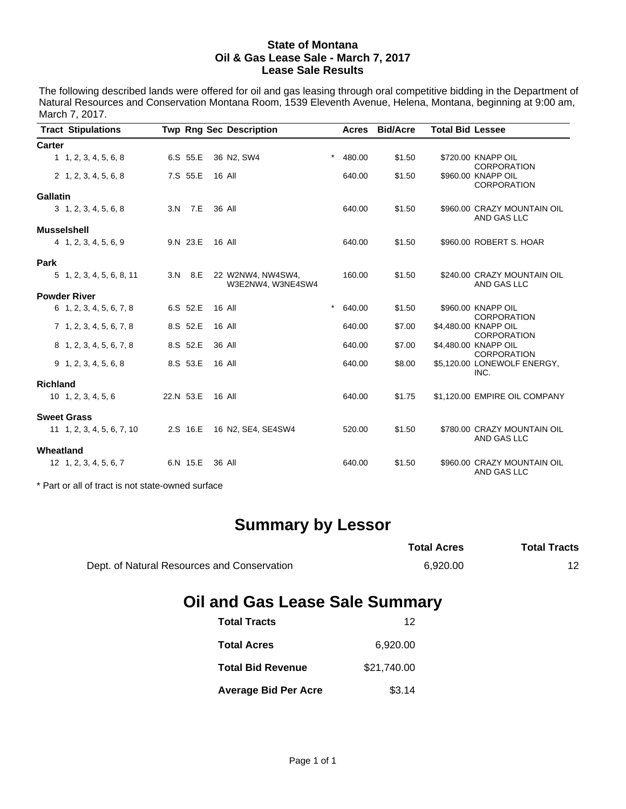#### **State of Montana Oil & Gas Lease Sale - March 7, 2017 Lease Sale Results**

The following described lands were offered for oil and gas leasing through oral competitive bidding in the Department of Natural Resources and Conservation Montana Room, 1539 Eleventh Avenue, Helena, Montana, beginning at 9:00 am, March 7, 2017.

| <b>Tract Stipulations</b>    |           | <b>Twp Rng Sec Description</b>         | Acres             | <b>Bid/Acre</b> | <b>Total Bid Lessee</b>                    |  |  |  |  |
|------------------------------|-----------|----------------------------------------|-------------------|-----------------|--------------------------------------------|--|--|--|--|
| <b>Carter</b>                |           |                                        |                   |                 |                                            |  |  |  |  |
| 1, 1, 2, 3, 4, 5, 6, 8       | 6.S 55.E  | 36 N2, SW4                             | $\star$<br>480.00 | \$1.50          | \$720.00 KNAPP OIL<br><b>CORPORATION</b>   |  |  |  |  |
| $2\quad 1, 2, 3, 4, 5, 6, 8$ | 7.S 55.E  | 16 All                                 | 640.00            | \$1.50          | \$960.00 KNAPP OIL<br><b>CORPORATION</b>   |  |  |  |  |
| <b>Gallatin</b>              |           |                                        |                   |                 |                                            |  |  |  |  |
| $3\quad 1, 2, 3, 4, 5, 6, 8$ | 3.N 7.E   | 36 All                                 | 640.00            | \$1.50          | \$960.00 CRAZY MOUNTAIN OIL<br>AND GAS LLC |  |  |  |  |
| <b>Musselshell</b>           |           |                                        |                   |                 |                                            |  |  |  |  |
| 4 1, 2, 3, 4, 5, 6, 9        | 9.N 23.E  | 16 All                                 | 640.00            | \$1.50          | \$960.00 ROBERT S. HOAR                    |  |  |  |  |
| Park                         |           |                                        |                   |                 |                                            |  |  |  |  |
| 5 1, 2, 3, 4, 5, 6, 8, 11    | 3.N 8.E   | 22 W2NW4, NW4SW4,<br>W3E2NW4, W3NE4SW4 | 160.00            | \$1.50          | \$240.00 CRAZY MOUNTAIN OIL<br>AND GAS LLC |  |  |  |  |
| <b>Powder River</b>          |           |                                        |                   |                 |                                            |  |  |  |  |
| 6 1, 2, 3, 4, 5, 6, 7, 8     | 6.S 52.E  | 16 All                                 | $\star$<br>640.00 | \$1.50          | \$960.00 KNAPP OIL<br><b>CORPORATION</b>   |  |  |  |  |
| 7 1, 2, 3, 4, 5, 6, 7, 8     | 8.S 52.E  | 16 All                                 | 640.00            | \$7.00          | \$4,480.00 KNAPP OIL                       |  |  |  |  |
| 8 1, 2, 3, 4, 5, 6, 7, 8     | 8.S 52.E  | 36 All                                 | 640.00            | \$7.00          | <b>CORPORATION</b><br>\$4,480.00 KNAPP OIL |  |  |  |  |
|                              |           |                                        |                   |                 | <b>CORPORATION</b>                         |  |  |  |  |
| $9$ 1, 2, 3, 4, 5, 6, 8      | 8.S 53.E  | 16 All                                 | 640.00            | \$8.00          | \$5,120.00 LONEWOLF ENERGY,<br>INC.        |  |  |  |  |
| <b>Richland</b>              |           |                                        |                   |                 |                                            |  |  |  |  |
| $10 \quad 1, 2, 3, 4, 5, 6$  | 22.N 53.E | 16 All                                 | 640.00            | \$1.75          | \$1,120.00 EMPIRE OIL COMPANY              |  |  |  |  |
| <b>Sweet Grass</b>           |           |                                        |                   |                 |                                            |  |  |  |  |
| 11 1, 2, 3, 4, 5, 6, 7, 10   | 2.S 16.E  | 16 N2, SE4, SE4SW4                     | 520.00            | \$1.50          | \$780.00 CRAZY MOUNTAIN OIL<br>AND GAS LLC |  |  |  |  |
| Wheatland                    |           |                                        |                   |                 |                                            |  |  |  |  |
| 12 1, 2, 3, 4, 5, 6, 7       | 6.N 15.E  | 36 All                                 | 640.00            | \$1.50          | \$960.00 CRAZY MOUNTAIN OIL<br>AND GAS LLC |  |  |  |  |
|                              |           |                                        |                   |                 |                                            |  |  |  |  |

\* Part or all of tract is not state-owned surface

# **Summary by Lessor**

|                                             | <b>Total Acres</b> | <b>Total Tracts</b> |
|---------------------------------------------|--------------------|---------------------|
| Dept. of Natural Resources and Conservation | 6.920.00           |                     |

## **Oil and Gas Lease Sale Summary**

| <b>Total Tracts</b>         | 12          |
|-----------------------------|-------------|
| <b>Total Acres</b>          | 6,920.00    |
| <b>Total Bid Revenue</b>    | \$21,740.00 |
| <b>Average Bid Per Acre</b> | \$3.14      |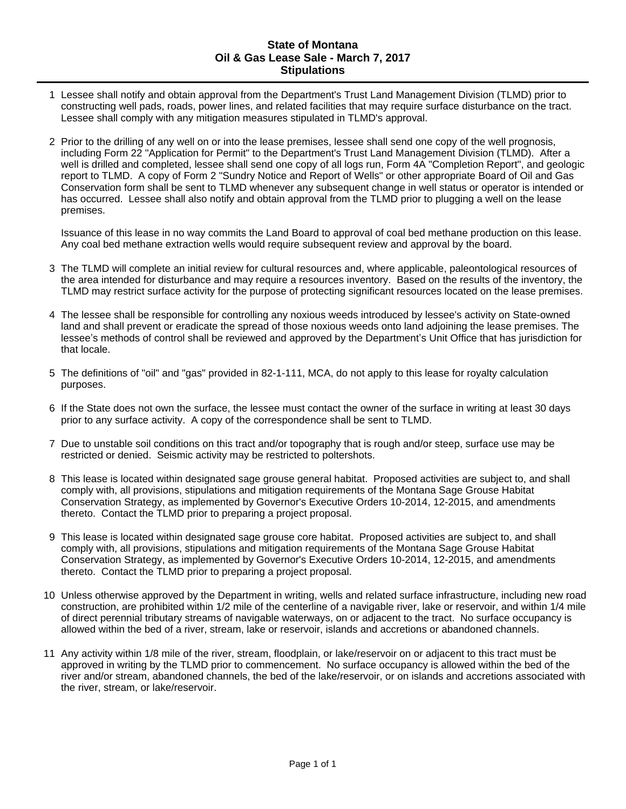#### **State of Montana Oil & Gas Lease Sale - March 7, 2017 Stipulations**

- 1 Lessee shall notify and obtain approval from the Department's Trust Land Management Division (TLMD) prior to constructing well pads, roads, power lines, and related facilities that may require surface disturbance on the tract. Lessee shall comply with any mitigation measures stipulated in TLMD's approval.
- 2 Prior to the drilling of any well on or into the lease premises, lessee shall send one copy of the well prognosis, including Form 22 "Application for Permit" to the Department's Trust Land Management Division (TLMD). After a well is drilled and completed, lessee shall send one copy of all logs run, Form 4A "Completion Report", and geologic report to TLMD. A copy of Form 2 "Sundry Notice and Report of Wells" or other appropriate Board of Oil and Gas Conservation form shall be sent to TLMD whenever any subsequent change in well status or operator is intended or has occurred. Lessee shall also notify and obtain approval from the TLMD prior to plugging a well on the lease premises.

Issuance of this lease in no way commits the Land Board to approval of coal bed methane production on this lease. Any coal bed methane extraction wells would require subsequent review and approval by the board.

- 3 The TLMD will complete an initial review for cultural resources and, where applicable, paleontological resources of the area intended for disturbance and may require a resources inventory. Based on the results of the inventory, the TLMD may restrict surface activity for the purpose of protecting significant resources located on the lease premises.
- 4 The lessee shall be responsible for controlling any noxious weeds introduced by lessee's activity on State-owned land and shall prevent or eradicate the spread of those noxious weeds onto land adjoining the lease premises. The lessee's methods of control shall be reviewed and approved by the Department's Unit Office that has jurisdiction for that locale.
- 5 The definitions of "oil" and "gas" provided in 82-1-111, MCA, do not apply to this lease for royalty calculation purposes.
- 6 If the State does not own the surface, the lessee must contact the owner of the surface in writing at least 30 days prior to any surface activity. A copy of the correspondence shall be sent to TLMD.
- 7 Due to unstable soil conditions on this tract and/or topography that is rough and/or steep, surface use may be restricted or denied. Seismic activity may be restricted to poltershots.
- 8 This lease is located within designated sage grouse general habitat. Proposed activities are subject to, and shall comply with, all provisions, stipulations and mitigation requirements of the Montana Sage Grouse Habitat Conservation Strategy, as implemented by Governor's Executive Orders 10-2014, 12-2015, and amendments thereto. Contact the TLMD prior to preparing a project proposal.
- 9 This lease is located within designated sage grouse core habitat. Proposed activities are subject to, and shall comply with, all provisions, stipulations and mitigation requirements of the Montana Sage Grouse Habitat Conservation Strategy, as implemented by Governor's Executive Orders 10-2014, 12-2015, and amendments thereto. Contact the TLMD prior to preparing a project proposal.
- 10 Unless otherwise approved by the Department in writing, wells and related surface infrastructure, including new road construction, are prohibited within 1/2 mile of the centerline of a navigable river, lake or reservoir, and within 1/4 mile of direct perennial tributary streams of navigable waterways, on or adjacent to the tract. No surface occupancy is allowed within the bed of a river, stream, lake or reservoir, islands and accretions or abandoned channels.
- 11 Any activity within 1/8 mile of the river, stream, floodplain, or lake/reservoir on or adjacent to this tract must be approved in writing by the TLMD prior to commencement. No surface occupancy is allowed within the bed of the river and/or stream, abandoned channels, the bed of the lake/reservoir, or on islands and accretions associated with the river, stream, or lake/reservoir.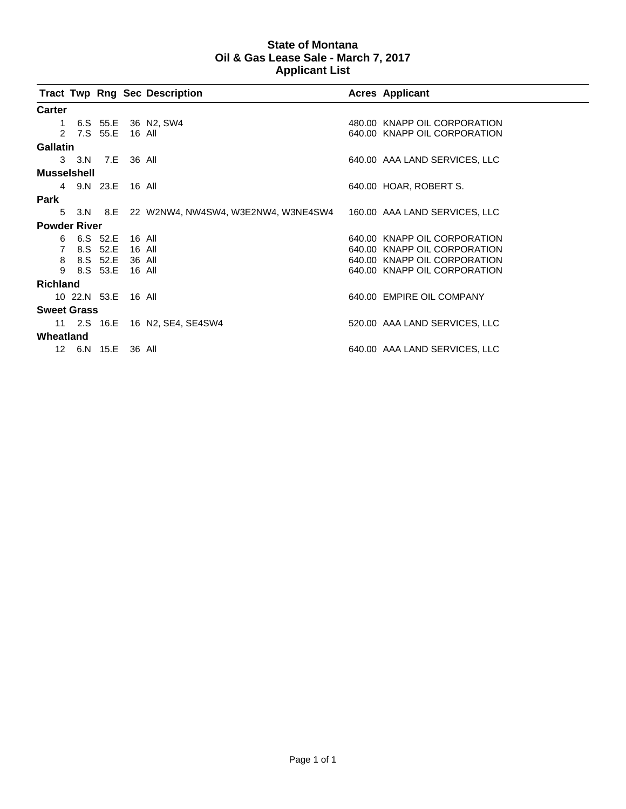### **State of Montana Oil & Gas Lease Sale - March 7, 2017 Applicant List**

|                     |                     |                 |          | <b>Tract Twp Rng Sec Description</b>                                      |  | <b>Acres Applicant</b>        |  |  |  |
|---------------------|---------------------|-----------------|----------|---------------------------------------------------------------------------|--|-------------------------------|--|--|--|
| <b>Carter</b>       |                     |                 |          |                                                                           |  |                               |  |  |  |
| 1                   |                     |                 |          | 6.S 55.E 36 N2, SW4                                                       |  | 480.00 KNAPP OIL CORPORATION  |  |  |  |
| $\mathcal{P}$       |                     | 7.S 55.E 16 All |          |                                                                           |  | 640.00 KNAPP OIL CORPORATION  |  |  |  |
| <b>Gallatin</b>     |                     |                 |          |                                                                           |  |                               |  |  |  |
|                     | 3 3.N 7.E 36 All    |                 |          |                                                                           |  | 640.00 AAA LAND SERVICES, LLC |  |  |  |
| <b>Musselshell</b>  |                     |                 |          |                                                                           |  |                               |  |  |  |
|                     | 4 9.N 23.E 16 All   |                 |          |                                                                           |  | 640.00 HOAR, ROBERT S.        |  |  |  |
| Park                |                     |                 |          |                                                                           |  |                               |  |  |  |
| 5                   |                     |                 |          | 3.N 8.E 22 W2NW4, NW4SW4, W3E2NW4, W3NE4SW4 160.00 AAA LAND SERVICES, LLC |  |                               |  |  |  |
| <b>Powder River</b> |                     |                 |          |                                                                           |  |                               |  |  |  |
| 6                   |                     | 6.S 52.E        | - 16 All |                                                                           |  | 640.00 KNAPP OIL CORPORATION  |  |  |  |
| 7                   |                     | 8.S 52.E        | 16 All   |                                                                           |  | 640.00 KNAPP OIL CORPORATION  |  |  |  |
| 8                   |                     | 8.S 52.E 36 All |          |                                                                           |  | 640.00 KNAPP OIL CORPORATION  |  |  |  |
| 9                   |                     | 8.S 53.E        | 16 All   |                                                                           |  | 640.00 KNAPP OIL CORPORATION  |  |  |  |
|                     |                     |                 |          |                                                                           |  |                               |  |  |  |
| <b>Richland</b>     |                     |                 |          |                                                                           |  |                               |  |  |  |
|                     | 10 22.N 53.E 16 All |                 |          |                                                                           |  | 640.00 EMPIRE OIL COMPANY     |  |  |  |
| <b>Sweet Grass</b>  |                     |                 |          |                                                                           |  |                               |  |  |  |
|                     |                     |                 |          | 11 2.S 16.E 16 N2, SE4, SE4SW4                                            |  | 520.00 AAA LAND SERVICES, LLC |  |  |  |
| Wheatland           |                     |                 |          |                                                                           |  |                               |  |  |  |
| 12 <sup>1</sup>     |                     | 6.N 15.E 36 All |          |                                                                           |  | 640.00 AAA LAND SERVICES, LLC |  |  |  |